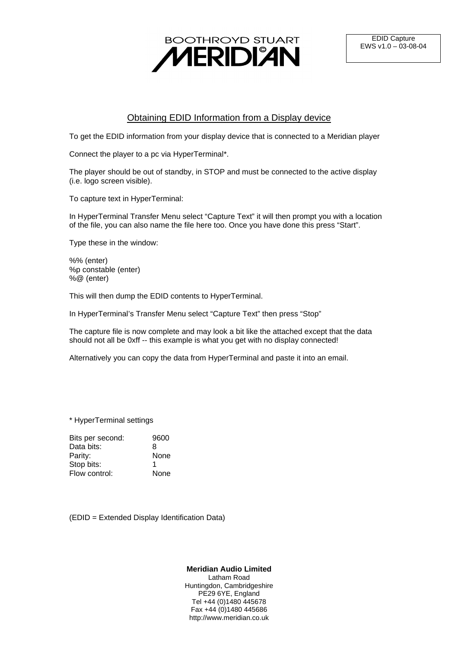

## Obtaining EDID Information from a Display device

To get the EDID information from your display device that is connected to a Meridian player

Connect the player to a pc via HyperTerminal\*.

The player should be out of standby, in STOP and must be connected to the active display (i.e. logo screen visible).

To capture text in HyperTerminal:

In HyperTerminal Transfer Menu select "Capture Text" it will then prompt you with a location of the file, you can also name the file here too. Once you have done this press "Start".

Type these in the window:

%% (enter) %p constable (enter) %@ (enter)

This will then dump the EDID contents to HyperTerminal.

In HyperTerminal's Transfer Menu select "Capture Text" then press "Stop"

The capture file is now complete and may look a bit like the attached except that the data should not all be 0xff -- this example is what you get with no display connected!

Alternatively you can copy the data from HyperTerminal and paste it into an email.

\* HyperTerminal settings

| 9600 |
|------|
| 8    |
| None |
| 1    |
| None |
|      |

(EDID = Extended Display Identification Data)

**Meridian Audio Limited** Latham Road Huntingdon, Cambridgeshire PE29 6YE, England Tel +44 (0)1480 445678 Fax +44 (0)1480 445686

http://www.meridian.co.uk